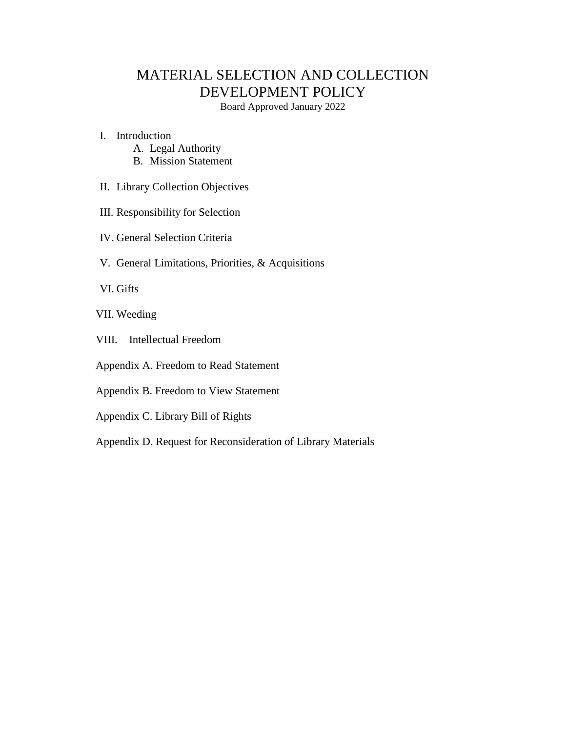## MATERIAL SELECTION AND COLLECTION DEVELOPMENT POLICY

Board Approved January 2022

- I. Introduction
	- A. Legal Authority
	- B. Mission Statement
- II. Library Collection Objectives
- III. Responsibility for Selection
- IV. General Selection Criteria
- V. General Limitations, Priorities, & Acquisitions
- VI. Gifts
- VII. Weeding
- VIII. Intellectual Freedom
- Appendix A. Freedom to Read Statement
- Appendix B. Freedom to View Statement
- Appendix C. Library Bill of Rights
- Appendix D. Request for Reconsideration of Library Materials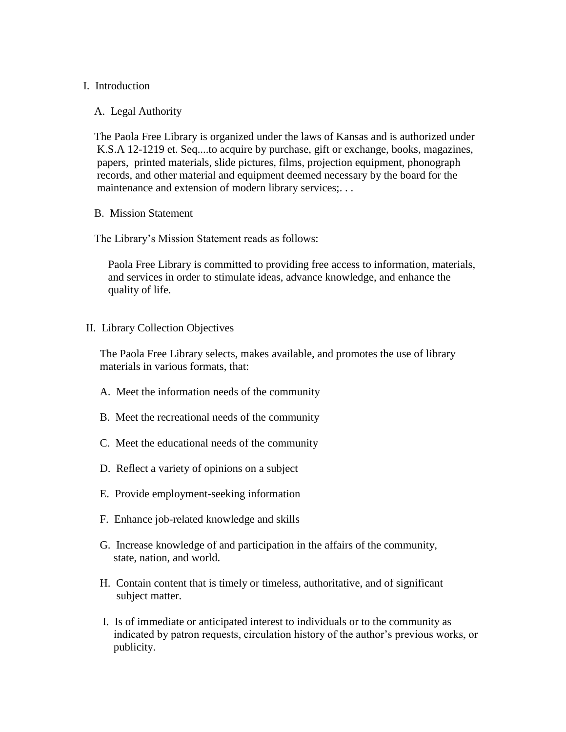### I. Introduction

#### A. Legal Authority

 The Paola Free Library is organized under the laws of Kansas and is authorized under K.S.A 12-1219 et. Seq....to acquire by purchase, gift or exchange, books, magazines, papers, printed materials, slide pictures, films, projection equipment, phonograph records, and other material and equipment deemed necessary by the board for the maintenance and extension of modern library services;. . .

#### B. Mission Statement

The Library's Mission Statement reads as follows:

 Paola Free Library is committed to providing free access to information, materials, and services in order to stimulate ideas, advance knowledge, and enhance the quality of life.

II. Library Collection Objectives

 The Paola Free Library selects, makes available, and promotes the use of library materials in various formats, that:

- A. Meet the information needs of the community
- B. Meet the recreational needs of the community
- C. Meet the educational needs of the community
- D. Reflect a variety of opinions on a subject
- E. Provide employment-seeking information
- F. Enhance job-related knowledge and skills
- G. Increase knowledge of and participation in the affairs of the community, state, nation, and world.
- H. Contain content that is timely or timeless, authoritative, and of significant subject matter.
- I. Is of immediate or anticipated interest to individuals or to the community as indicated by patron requests, circulation history of the author's previous works, or publicity.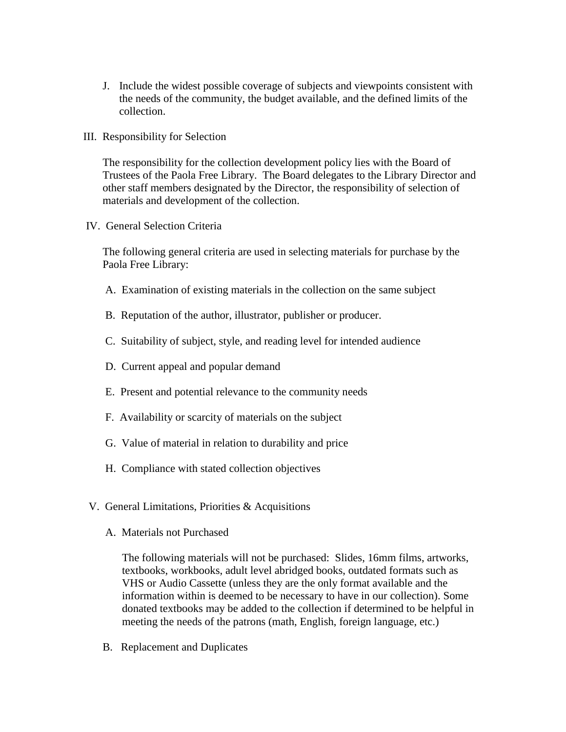- J. Include the widest possible coverage of subjects and viewpoints consistent with the needs of the community, the budget available, and the defined limits of the collection.
- III. Responsibility for Selection

 The responsibility for the collection development policy lies with the Board of Trustees of the Paola Free Library. The Board delegates to the Library Director and other staff members designated by the Director, the responsibility of selection of materials and development of the collection.

IV. General Selection Criteria

 The following general criteria are used in selecting materials for purchase by the Paola Free Library:

- A. Examination of existing materials in the collection on the same subject
- B. Reputation of the author, illustrator, publisher or producer.
- C. Suitability of subject, style, and reading level for intended audience
- D. Current appeal and popular demand
- E. Present and potential relevance to the community needs
- F. Availability or scarcity of materials on the subject
- G. Value of material in relation to durability and price
- H. Compliance with stated collection objectives
- V. General Limitations, Priorities & Acquisitions
	- A. Materials not Purchased

 The following materials will not be purchased: Slides, 16mm films, artworks, textbooks, workbooks, adult level abridged books, outdated formats such as VHS or Audio Cassette (unless they are the only format available and the information within is deemed to be necessary to have in our collection). Some donated textbooks may be added to the collection if determined to be helpful in meeting the needs of the patrons (math, English, foreign language, etc.)

B. Replacement and Duplicates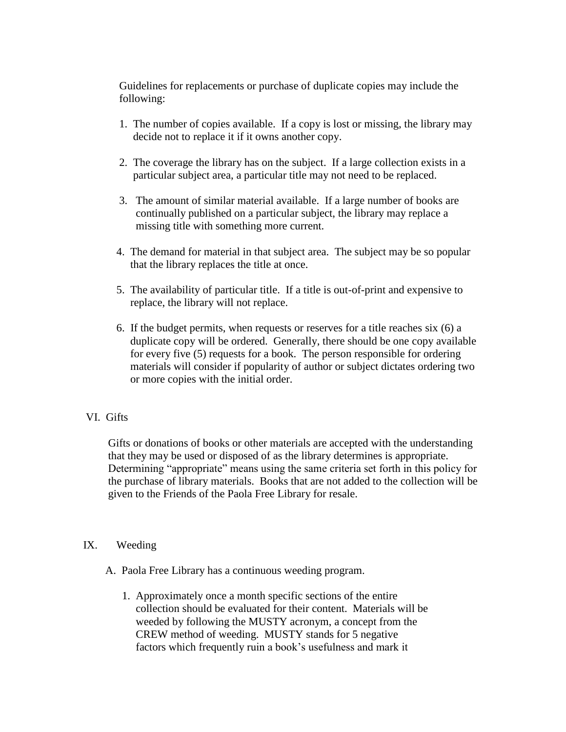Guidelines for replacements or purchase of duplicate copies may include the following:

- 1. The number of copies available. If a copy is lost or missing, the library may decide not to replace it if it owns another copy.
- 2. The coverage the library has on the subject. If a large collection exists in a particular subject area, a particular title may not need to be replaced.
- 3. The amount of similar material available. If a large number of books are continually published on a particular subject, the library may replace a missing title with something more current.
- 4. The demand for material in that subject area. The subject may be so popular that the library replaces the title at once.
- 5. The availability of particular title. If a title is out-of-print and expensive to replace, the library will not replace.
- 6. If the budget permits, when requests or reserves for a title reaches six (6) a duplicate copy will be ordered. Generally, there should be one copy available for every five (5) requests for a book. The person responsible for ordering materials will consider if popularity of author or subject dictates ordering two or more copies with the initial order.

## VI. Gifts

Gifts or donations of books or other materials are accepted with the understanding that they may be used or disposed of as the library determines is appropriate. Determining "appropriate" means using the same criteria set forth in this policy for the purchase of library materials. Books that are not added to the collection will be given to the Friends of the Paola Free Library for resale.

### IX. Weeding

- A. Paola Free Library has a continuous weeding program.
	- 1. Approximately once a month specific sections of the entire collection should be evaluated for their content. Materials will be weeded by following the MUSTY acronym, a concept from the CREW method of weeding. MUSTY stands for 5 negative factors which frequently ruin a book's usefulness and mark it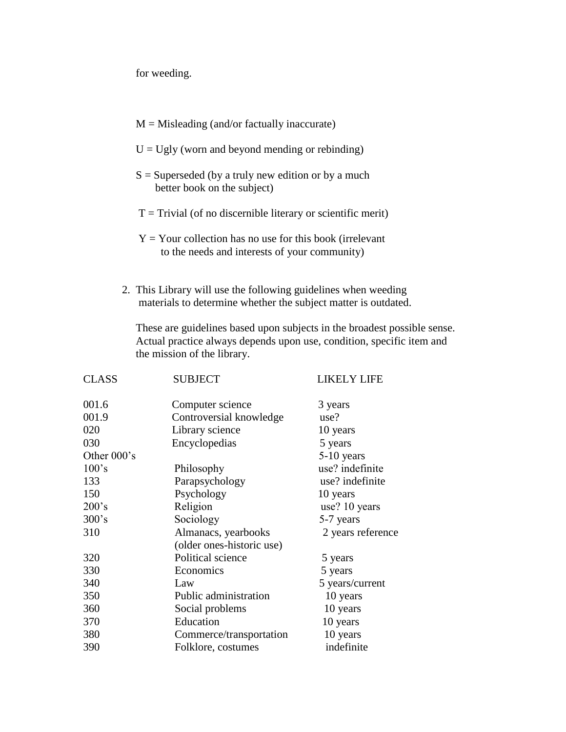for weeding.

| $M =$ Misleading (and/or factually inaccurate)                                                              |
|-------------------------------------------------------------------------------------------------------------|
| $U = Ugly$ (worn and beyond mending or rebinding)                                                           |
| $S =$ Superseded (by a truly new edition or by a much<br>better book on the subject)                        |
| $T = Trivial$ (of no discernible literary or scientific merit)                                              |
| $Y = Your$ collection has no use for this book (irrelevant<br>to the needs and interests of your community) |

 2. This Library will use the following guidelines when weeding materials to determine whether the subject matter is outdated.

 These are guidelines based upon subjects in the broadest possible sense. Actual practice always depends upon use, condition, specific item and the mission of the library.

| <b>CLASS</b> | <b>SUBJECT</b>            | <b>LIKELY LIFE</b> |
|--------------|---------------------------|--------------------|
| 001.6        | Computer science          | 3 years            |
| 001.9        | Controversial knowledge   | use?               |
| 020          | Library science           | 10 years           |
| 030          | Encyclopedias             | 5 years            |
| Other 000's  |                           | $5-10$ years       |
| $100$ 's     | Philosophy                | use? indefinite    |
| 133          | Parapsychology            | use? indefinite    |
| 150          | Psychology                | 10 years           |
| 200's        | Religion                  | use? 10 years      |
| 300's        | Sociology                 | 5-7 years          |
| 310          | Almanacs, yearbooks       | 2 years reference  |
|              | (older ones-historic use) |                    |
| 320          | Political science         | 5 years            |
| 330          | Economics                 | 5 years            |
| 340          | Law                       | 5 years/current    |
| 350          | Public administration     | 10 years           |
| 360          | Social problems           | 10 years           |
| 370          | Education                 | 10 years           |
| 380          | Commerce/transportation   | 10 years           |
| 390          | Folklore, costumes        | indefinite         |
|              |                           |                    |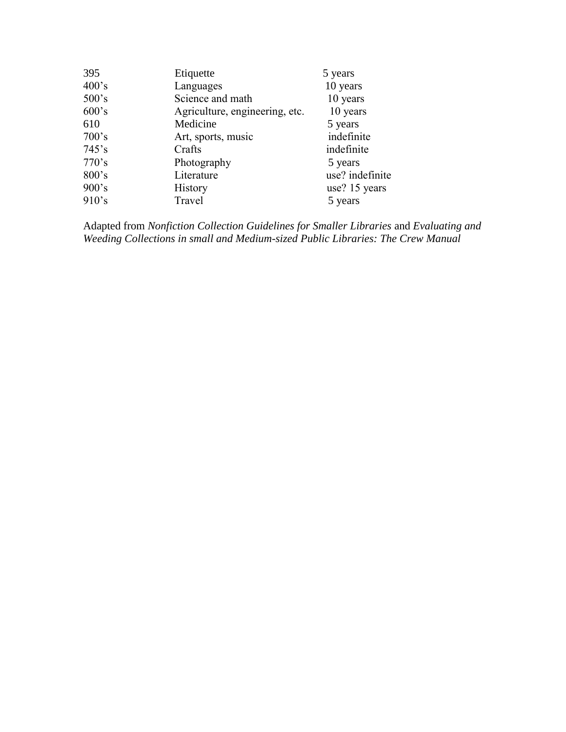| 395      | Etiquette                      | 5 years         |
|----------|--------------------------------|-----------------|
| 400's    | Languages                      | 10 years        |
| 500's    | Science and math               | 10 years        |
| 600's    | Agriculture, engineering, etc. | 10 years        |
| 610      | Medicine                       | 5 years         |
| 700's    | Art, sports, music             | indefinite      |
| $745$ 's | Crafts                         | indefinite      |
| 770's    | Photography                    | 5 years         |
| 800's    | Literature                     | use? indefinite |
| 900's    | History                        | use? 15 years   |
| 910's    | Travel                         | 5 years         |
|          |                                |                 |

Adapted from *Nonfiction Collection Guidelines for Smaller Libraries* and *Evaluating and Weeding Collections in small and Medium-sized Public Libraries: The Crew Manual*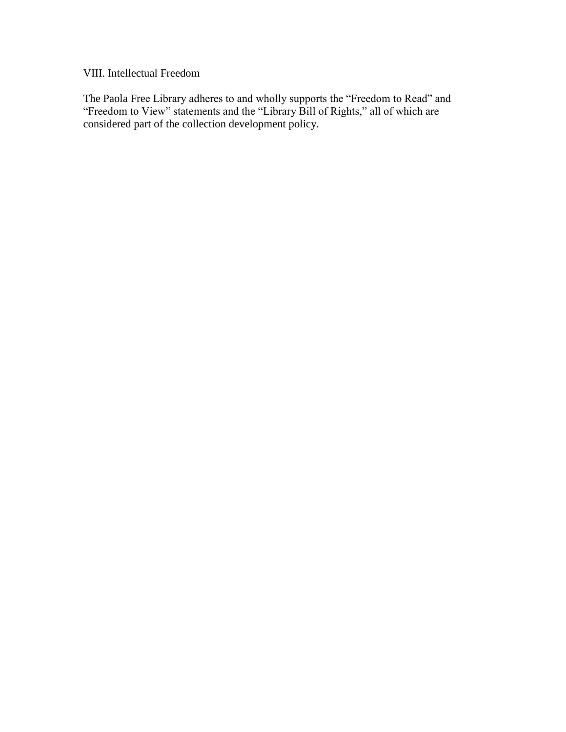## VIII. Intellectual Freedom

The Paola Free Library adheres to and wholly supports the "Freedom to Read" and "Freedom to View" statements and the "Library Bill of Rights," all of which are considered part of the collection development policy.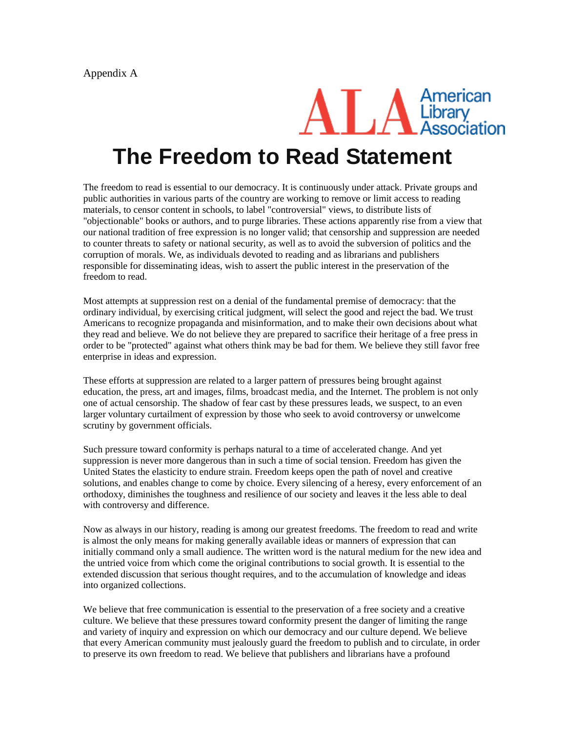

## **The Freedom to Read Statement**

The freedom to read is essential to our democracy. It is continuously under attack. Private groups and public authorities in various parts of the country are working to remove or limit access to reading materials, to censor content in schools, to label "controversial" views, to distribute lists of "objectionable" books or authors, and to purge libraries. These actions apparently rise from a view that our national tradition of free expression is no longer valid; that censorship and suppression are needed to counter threats to safety or national security, as well as to avoid the subversion of politics and the corruption of morals. We, as individuals devoted to reading and as librarians and publishers responsible for disseminating ideas, wish to assert the public interest in the preservation of the freedom to read.

Most attempts at suppression rest on a denial of the fundamental premise of democracy: that the ordinary individual, by exercising critical judgment, will select the good and reject the bad. We trust Americans to recognize propaganda and misinformation, and to make their own decisions about what they read and believe. We do not believe they are prepared to sacrifice their heritage of a free press in order to be "protected" against what others think may be bad for them. We believe they still favor free enterprise in ideas and expression.

These efforts at suppression are related to a larger pattern of pressures being brought against education, the press, art and images, films, broadcast media, and the Internet. The problem is not only one of actual censorship. The shadow of fear cast by these pressures leads, we suspect, to an even larger voluntary curtailment of expression by those who seek to avoid controversy or unwelcome scrutiny by government officials.

Such pressure toward conformity is perhaps natural to a time of accelerated change. And yet suppression is never more dangerous than in such a time of social tension. Freedom has given the United States the elasticity to endure strain. Freedom keeps open the path of novel and creative solutions, and enables change to come by choice. Every silencing of a heresy, every enforcement of an orthodoxy, diminishes the toughness and resilience of our society and leaves it the less able to deal with controversy and difference.

Now as always in our history, reading is among our greatest freedoms. The freedom to read and write is almost the only means for making generally available ideas or manners of expression that can initially command only a small audience. The written word is the natural medium for the new idea and the untried voice from which come the original contributions to social growth. It is essential to the extended discussion that serious thought requires, and to the accumulation of knowledge and ideas into organized collections.

We believe that free communication is essential to the preservation of a free society and a creative culture. We believe that these pressures toward conformity present the danger of limiting the range and variety of inquiry and expression on which our democracy and our culture depend. We believe that every American community must jealously guard the freedom to publish and to circulate, in order to preserve its own freedom to read. We believe that publishers and librarians have a profound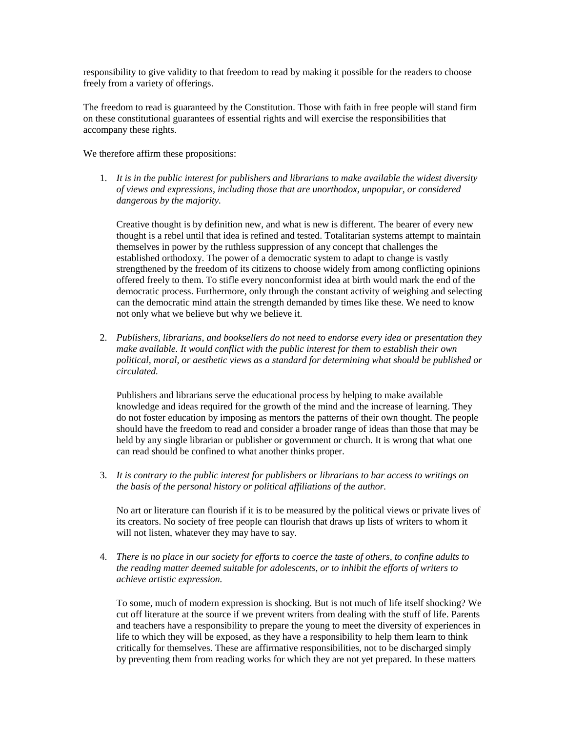responsibility to give validity to that freedom to read by making it possible for the readers to choose freely from a variety of offerings.

The freedom to read is guaranteed by the Constitution. Those with faith in free people will stand firm on these constitutional guarantees of essential rights and will exercise the responsibilities that accompany these rights.

We therefore affirm these propositions:

1. *It is in the public interest for publishers and librarians to make available the widest diversity of views and expressions, including those that are unorthodox, unpopular, or considered dangerous by the majority.*

Creative thought is by definition new, and what is new is different. The bearer of every new thought is a rebel until that idea is refined and tested. Totalitarian systems attempt to maintain themselves in power by the ruthless suppression of any concept that challenges the established orthodoxy. The power of a democratic system to adapt to change is vastly strengthened by the freedom of its citizens to choose widely from among conflicting opinions offered freely to them. To stifle every nonconformist idea at birth would mark the end of the democratic process. Furthermore, only through the constant activity of weighing and selecting can the democratic mind attain the strength demanded by times like these. We need to know not only what we believe but why we believe it.

2. *Publishers, librarians, and booksellers do not need to endorse every idea or presentation they make available. It would conflict with the public interest for them to establish their own political, moral, or aesthetic views as a standard for determining what should be published or circulated.*

Publishers and librarians serve the educational process by helping to make available knowledge and ideas required for the growth of the mind and the increase of learning. They do not foster education by imposing as mentors the patterns of their own thought. The people should have the freedom to read and consider a broader range of ideas than those that may be held by any single librarian or publisher or government or church. It is wrong that what one can read should be confined to what another thinks proper.

3. *It is contrary to the public interest for publishers or librarians to bar access to writings on the basis of the personal history or political affiliations of the author.*

No art or literature can flourish if it is to be measured by the political views or private lives of its creators. No society of free people can flourish that draws up lists of writers to whom it will not listen, whatever they may have to say.

4. There is no place in our society for efforts to coerce the taste of others, to confine adults to *the reading matter deemed suitable for adolescents, or to inhibit the efforts of writers to achieve artistic expression.*

To some, much of modern expression is shocking. But is not much of life itself shocking? We cut off literature at the source if we prevent writers from dealing with the stuff of life. Parents and teachers have a responsibility to prepare the young to meet the diversity of experiences in life to which they will be exposed, as they have a responsibility to help them learn to think critically for themselves. These are affirmative responsibilities, not to be discharged simply by preventing them from reading works for which they are not yet prepared. In these matters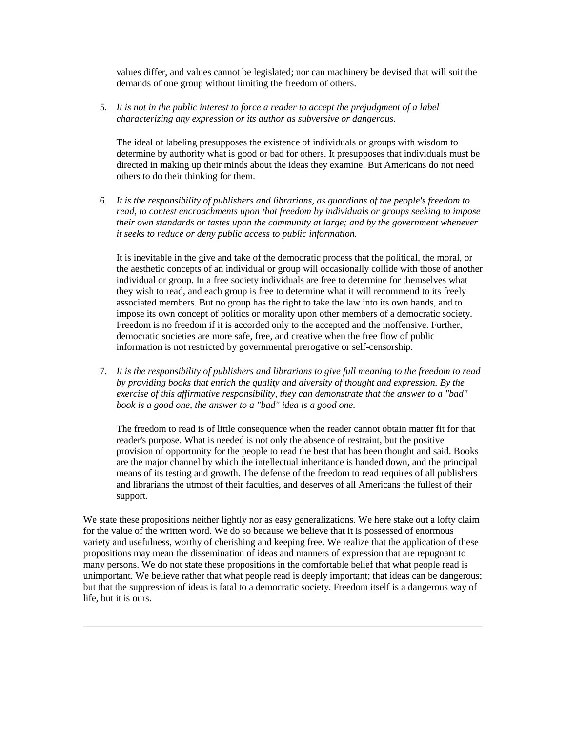values differ, and values cannot be legislated; nor can machinery be devised that will suit the demands of one group without limiting the freedom of others.

5. *It is not in the public interest to force a reader to accept the prejudgment of a label characterizing any expression or its author as subversive or dangerous.*

The ideal of labeling presupposes the existence of individuals or groups with wisdom to determine by authority what is good or bad for others. It presupposes that individuals must be directed in making up their minds about the ideas they examine. But Americans do not need others to do their thinking for them.

6. *It is the responsibility of publishers and librarians, as guardians of the people's freedom to read, to contest encroachments upon that freedom by individuals or groups seeking to impose their own standards or tastes upon the community at large; and by the government whenever it seeks to reduce or deny public access to public information.*

It is inevitable in the give and take of the democratic process that the political, the moral, or the aesthetic concepts of an individual or group will occasionally collide with those of another individual or group. In a free society individuals are free to determine for themselves what they wish to read, and each group is free to determine what it will recommend to its freely associated members. But no group has the right to take the law into its own hands, and to impose its own concept of politics or morality upon other members of a democratic society. Freedom is no freedom if it is accorded only to the accepted and the inoffensive. Further, democratic societies are more safe, free, and creative when the free flow of public information is not restricted by governmental prerogative or self-censorship.

7. *It is the responsibility of publishers and librarians to give full meaning to the freedom to read by providing books that enrich the quality and diversity of thought and expression. By the exercise of this affirmative responsibility, they can demonstrate that the answer to a "bad" book is a good one, the answer to a "bad" idea is a good one.*

The freedom to read is of little consequence when the reader cannot obtain matter fit for that reader's purpose. What is needed is not only the absence of restraint, but the positive provision of opportunity for the people to read the best that has been thought and said. Books are the major channel by which the intellectual inheritance is handed down, and the principal means of its testing and growth. The defense of the freedom to read requires of all publishers and librarians the utmost of their faculties, and deserves of all Americans the fullest of their support.

We state these propositions neither lightly nor as easy generalizations. We here stake out a lofty claim for the value of the written word. We do so because we believe that it is possessed of enormous variety and usefulness, worthy of cherishing and keeping free. We realize that the application of these propositions may mean the dissemination of ideas and manners of expression that are repugnant to many persons. We do not state these propositions in the comfortable belief that what people read is unimportant. We believe rather that what people read is deeply important; that ideas can be dangerous; but that the suppression of ideas is fatal to a democratic society. Freedom itself is a dangerous way of life, but it is ours.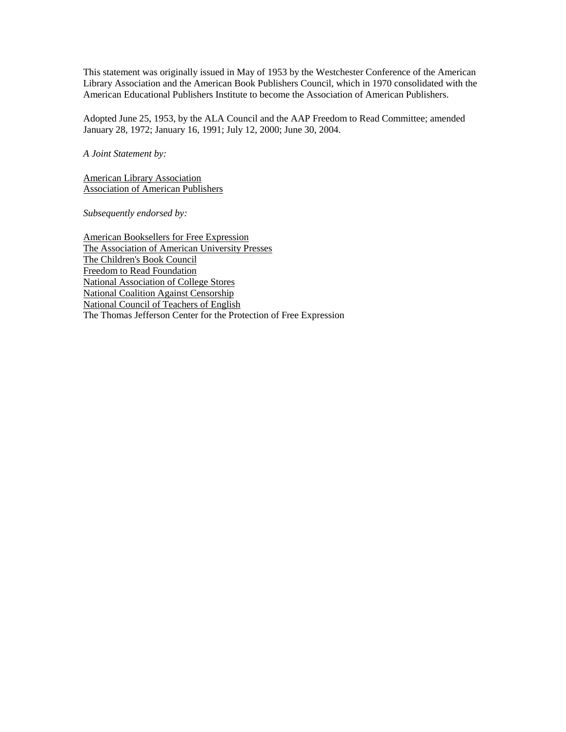This statement was originally issued in May of 1953 by the Westchester Conference of the American Library Association and the American Book Publishers Council, which in 1970 consolidated with the American Educational Publishers Institute to become the Association of American Publishers.

Adopted June 25, 1953, by the ALA Council and the AAP Freedom to Read Committee; amended January 28, 1972; January 16, 1991; July 12, 2000; June 30, 2004.

*A Joint Statement by:*

American Library [Association](https://www.ala.org/) [Association](http://www.publishers.org/) of American Publishers

*Subsequently endorsed by:*

American [Booksellers](http://www.bookweb.org/abfe) for Free Expression The [Association](http://www.aaupnet.org/) of American University Presses The [Children's](http://www.cbcbooks.org/) Book Council Freedom to Read [Foundation](http://www.ftrf.org/) National [Association](http://www.nacs.org/) of College Stores National Coalition Against [Censorship](http://www.ncac.org/) National Council of [Teachers](http://www.ncte.org/) of English The Thomas Jefferson Center for the Protection of Free Expression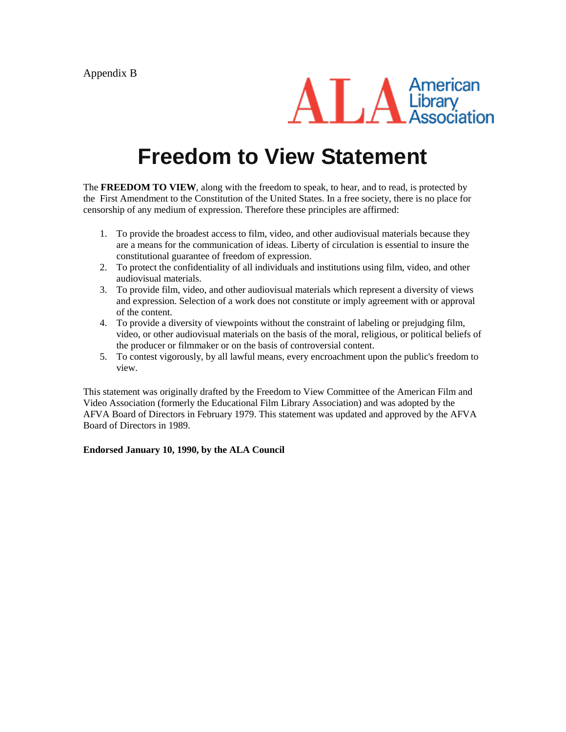

# **Freedom to View Statement**

The **FREEDOM TO VIEW**, along with the freedom to speak, to hear, and to read, is protected by the First Amendment to the Constitution of the United States. In a free society, there is no place for censorship of any medium of expression. Therefore these principles are affirmed:

- 1. To provide the broadest access to film, video, and other audiovisual materials because they are a means for the communication of ideas. Liberty of circulation is essential to insure the constitutional guarantee of freedom of expression.
- 2. To protect the confidentiality of all individuals and institutions using film, video, and other audiovisual materials.
- 3. To provide film, video, and other audiovisual materials which represent a diversity of views and expression. Selection of a work does not constitute or imply agreement with or approval of the content.
- 4. To provide a diversity of viewpoints without the constraint of labeling or prejudging film, video, or other audiovisual materials on the basis of the moral, religious, or political beliefs of the producer or filmmaker or on the basis of controversial content.
- 5. To contest vigorously, by all lawful means, every encroachment upon the public's freedom to view.

This statement was originally drafted by the Freedom to View Committee of the American Film and Video Association (formerly the Educational Film Library Association) and was adopted by the AFVA Board of Directors in February 1979. This statement was updated and approved by the AFVA Board of Directors in 1989.

#### **Endorsed January 10, 1990, by the ALA Council**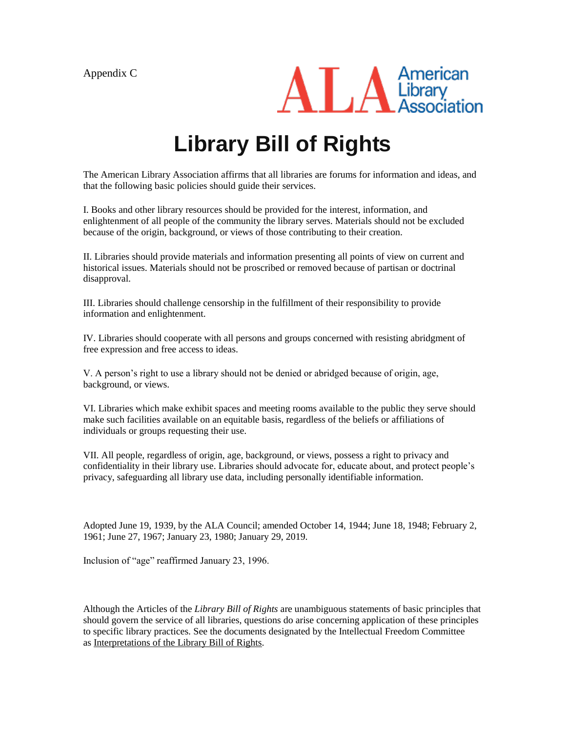Appendix C



# **Library Bill of Rights**

The American Library Association affirms that all libraries are forums for information and ideas, and that the following basic policies should guide their services.

I. Books and other library resources should be provided for the interest, information, and enlightenment of all people of the community the library serves. Materials should not be excluded because of the origin, background, or views of those contributing to their creation.

II. Libraries should provide materials and information presenting all points of view on current and historical issues. Materials should not be proscribed or removed because of partisan or doctrinal disapproval.

III. Libraries should challenge censorship in the fulfillment of their responsibility to provide information and enlightenment.

IV. Libraries should cooperate with all persons and groups concerned with resisting abridgment of free expression and free access to ideas.

V. A person's right to use a library should not be denied or abridged because of origin, age, background, or views.

VI. Libraries which make exhibit spaces and meeting rooms available to the public they serve should make such facilities available on an equitable basis, regardless of the beliefs or affiliations of individuals or groups requesting their use.

VII. All people, regardless of origin, age, background, or views, possess a right to privacy and confidentiality in their library use. Libraries should advocate for, educate about, and protect people's privacy, safeguarding all library use data, including personally identifiable information.

Adopted June 19, 1939, by the ALA Council; amended October 14, 1944; June 18, 1948; February 2, 1961; June 27, 1967; January 23, 1980; January 29, 2019.

Inclusion of "age" reaffirmed January 23, 1996.

Although the Articles of the *Library Bill of Rights* are unambiguous statements of basic principles that should govern the service of all libraries, questions do arise concerning application of these principles to specific library practices. See the documents designated by the Intellectual Freedom Committee as [Interpretations](http://www.ala.org/advocacy/intfreedom/librarybill/interpretations) of the Library Bill of Rights.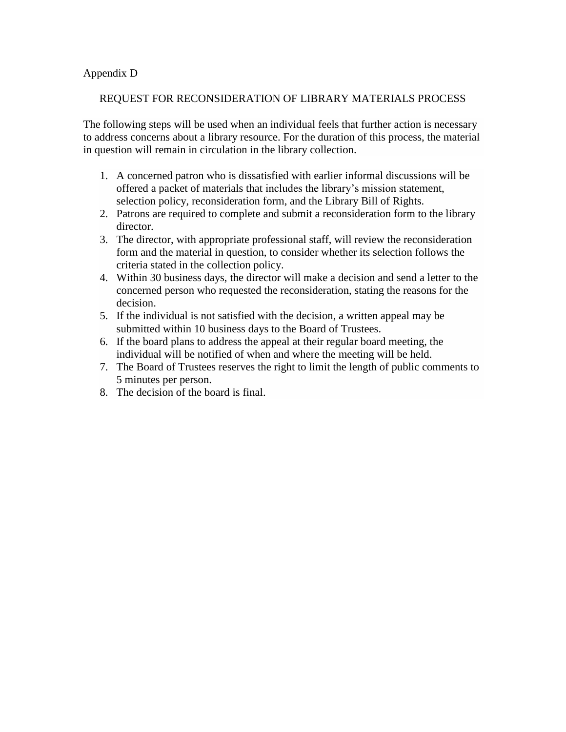### Appendix D

### REQUEST FOR RECONSIDERATION OF LIBRARY MATERIALS PROCESS

The following steps will be used when an individual feels that further action is necessary to address concerns about a library resource. For the duration of this process, the material in question will remain in circulation in the library collection.

- 1. A concerned patron who is dissatisfied with earlier informal discussions will be offered a packet of materials that includes the library's mission statement, selection policy, reconsideration form, and the Library Bill of Rights.
- 2. Patrons are required to complete and submit a reconsideration form to the library director.
- 3. The director, with appropriate professional staff, will review the reconsideration form and the material in question, to consider whether its selection follows the criteria stated in the collection policy.
- 4. Within 30 business days, the director will make a decision and send a letter to the concerned person who requested the reconsideration, stating the reasons for the decision.
- 5. If the individual is not satisfied with the decision, a written appeal may be submitted within 10 business days to the Board of Trustees.
- 6. If the board plans to address the appeal at their regular board meeting, the individual will be notified of when and where the meeting will be held.
- 7. The Board of Trustees reserves the right to limit the length of public comments to 5 minutes per person.
- 8. The decision of the board is final.